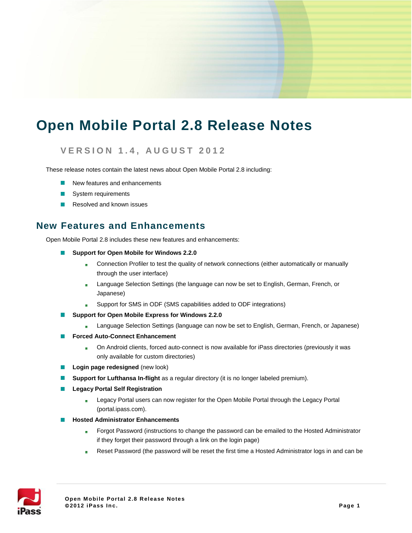# **Open Mobile Portal 2.8 Release Notes**

#### **V E R S I O N 1 . 4 , A U G U S T 2 0 1 2**

These release notes contain the latest news about Open Mobile Portal 2.8 including:

- New features and enhancements
- System requirements
- Resolved and known issues m.

#### **New Features and Enhancements**

Open Mobile Portal 2.8 includes these new features and enhancements:

- Support for Open Mobile for Windows 2.2.0
	- Connection Profiler to test the quality of network connections (either automatically or manually  $\mathbb{R}^2$ through the user interface)
	- Language Selection Settings (the language can now be set to English, German, French, or .<br>Sie Japanese)
	- Support for SMS in ODF (SMS capabilities added to ODF integrations) i.
- **Support for Open Mobile Express for Windows 2.2.0**
	- Language Selection Settings (language can now be set to English, German, French, or Japanese) s.<br>Sir
- **Forced Auto-Connect Enhancement COL** 
	- On Android clients, forced auto-connect is now available for iPass directories (previously it was tis. only available for custom directories)
- **Login page redesigned** (new look)
- **Support for Lufthansa In-flight** as a regular directory (it is no longer labeled premium).
- **Legacy Portal Self Registration**
	- Legacy Portal users can now register for the Open Mobile Portal through the Legacy Portal .<br>Sie (portal.ipass.com).
- **Hosted Administrator Enhancements In the** 
	- Forgot Password (instructions to change the password can be emailed to the Hosted Administrator  $\frac{1}{2}$ if they forget their password through a link on the login page)
	- Reset Password (the password will be reset the first time a Hosted Administrator logs in and can be tin.

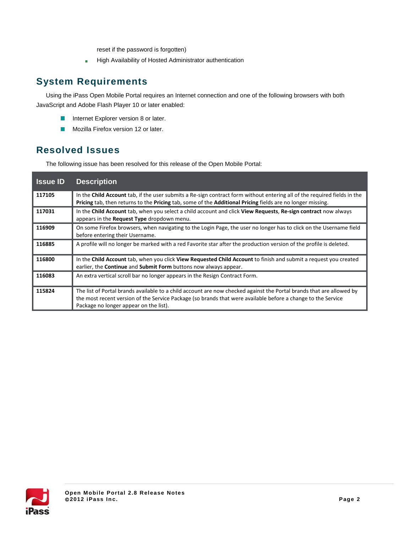reset if the password is forgotten)

High Availability of Hosted Administrator authentication is.

## **System Requirements**

Using the iPass Open Mobile Portal requires an Internet connection and one of the following browsers with both JavaScript and Adobe Flash Player 10 or later enabled:

- Internet Explorer version 8 or later.  $\mathcal{L}_{\mathcal{A}}$
- ×. Mozilla Firefox version 12 or later.

## **Resolved Issues**

The following issue has been resolved for this release of the Open Mobile Portal:

| <b>Issue ID</b> | <b>Description</b>                                                                                                                                                                                                                                                             |
|-----------------|--------------------------------------------------------------------------------------------------------------------------------------------------------------------------------------------------------------------------------------------------------------------------------|
| 117105          | In the <b>Child Account</b> tab, if the user submits a Re-sign contract form without entering all of the required fields in the<br>Pricing tab, then returns to the Pricing tab, some of the Additional Pricing fields are no longer missing.                                  |
| 117031          | In the Child Account tab, when you select a child account and click View Requests, Re-sign contract now always<br>appears in the <b>Request Type</b> dropdown menu.                                                                                                            |
| 116909          | On some Firefox browsers, when navigating to the Login Page, the user no longer has to click on the Username field<br>before entering their Username.                                                                                                                          |
| 116885          | A profile will no longer be marked with a red Favorite star after the production version of the profile is deleted.                                                                                                                                                            |
| 116800          | In the Child Account tab, when you click View Requested Child Account to finish and submit a request you created<br>earlier, the <b>Continue</b> and <b>Submit Form</b> buttons now always appear.                                                                             |
| 116083          | An extra vertical scroll bar no longer appears in the Resign Contract Form.                                                                                                                                                                                                    |
| 115824          | The list of Portal brands available to a child account are now checked against the Portal brands that are allowed by<br>the most recent version of the Service Package (so brands that were available before a change to the Service<br>Package no longer appear on the list). |

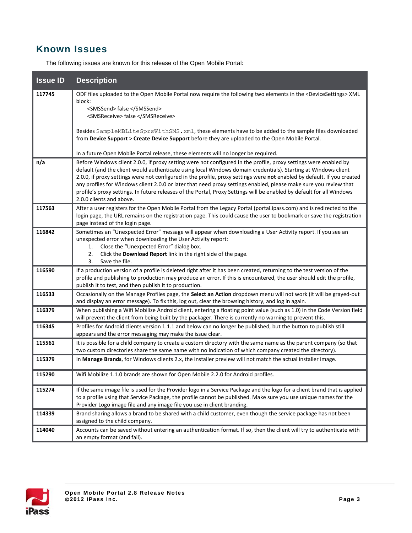### **Known Issues**

The following issues are known for this release of the Open Mobile Portal:

| <b>Issue ID</b> | <b>Description</b>                                                                                                                                                                                                                                                                                                                                                                                                                                                                                                                                                                                                                      |
|-----------------|-----------------------------------------------------------------------------------------------------------------------------------------------------------------------------------------------------------------------------------------------------------------------------------------------------------------------------------------------------------------------------------------------------------------------------------------------------------------------------------------------------------------------------------------------------------------------------------------------------------------------------------------|
| 117745          | ODF files uploaded to the Open Mobile Portal now require the following two elements in the <devicesettings> XML<br/>block:</devicesettings>                                                                                                                                                                                                                                                                                                                                                                                                                                                                                             |
|                 | <smssend> false </smssend><br><smsreceive> false </smsreceive>                                                                                                                                                                                                                                                                                                                                                                                                                                                                                                                                                                          |
|                 | Besides SampleMBLiteGprsWithSMS.xml, these elements have to be added to the sample files downloaded<br>from Device Support > Create Device Support before they are uploaded to the Open Mobile Portal.                                                                                                                                                                                                                                                                                                                                                                                                                                  |
|                 | In a future Open Mobile Portal release, these elements will no longer be required.                                                                                                                                                                                                                                                                                                                                                                                                                                                                                                                                                      |
| n/a             | Before Windows client 2.0.0, if proxy setting were not configured in the profile, proxy settings were enabled by<br>default (and the client would authenticate using local Windows domain credentials). Starting at Windows client<br>2.0.0, if proxy settings were not configured in the profile, proxy settings were not enabled by default. If you created<br>any profiles for Windows client 2.0.0 or later that need proxy settings enabled, please make sure you review that<br>profile's proxy settings. In future releases of the Portal, Proxy Settings will be enabled by default for all Windows<br>2.0.0 clients and above. |
| 117563          | After a user registers for the Open Mobile Portal from the Legacy Portal (portal.ipass.com) and is redirected to the<br>login page, the URL remains on the registration page. This could cause the user to bookmark or save the registration<br>page instead of the login page.                                                                                                                                                                                                                                                                                                                                                         |
| 116842          | Sometimes an "Unexpected Error" message will appear when downloading a User Activity report. If you see an<br>unexpected error when downloading the User Activity report:<br>Close the "Unexpected Error" dialog box.<br>1.<br>2.<br>Click the Download Report link in the right side of the page.<br>Save the file.<br>3.                                                                                                                                                                                                                                                                                                              |
| 116590          | If a production version of a profile is deleted right after it has been created, returning to the test version of the<br>profile and publishing to production may produce an error. If this is encountered, the user should edit the profile,<br>publish it to test, and then publish it to production.                                                                                                                                                                                                                                                                                                                                 |
| 116533          | Occasionally on the Manage Profiles page, the Select an Action dropdown menu will not work (it will be grayed-out<br>and display an error message). To fix this, log out, clear the browsing history, and log in again.                                                                                                                                                                                                                                                                                                                                                                                                                 |
| 116379          | When publishing a Wifi Mobilize Android client, entering a floating point value (such as 1.0) in the Code Version field<br>will prevent the client from being built by the packager. There is currently no warning to prevent this.                                                                                                                                                                                                                                                                                                                                                                                                     |
| 116345          | Profiles for Android clients version 1.1.1 and below can no longer be published, but the button to publish still<br>appears and the error messaging may make the issue clear.                                                                                                                                                                                                                                                                                                                                                                                                                                                           |
| 115561          | It is possible for a child company to create a custom directory with the same name as the parent company (so that<br>two custom directories share the same name with no indication of which company created the directory).                                                                                                                                                                                                                                                                                                                                                                                                             |
| 115379          | In Manage Brands, for Windows clients 2.x, the installer preview will not match the actual installer image.                                                                                                                                                                                                                                                                                                                                                                                                                                                                                                                             |
| 115290          | Wifi Mobilize 1.1.0 brands are shown for Open Mobile 2.2.0 for Android profiles.                                                                                                                                                                                                                                                                                                                                                                                                                                                                                                                                                        |
| 115274          | If the same image file is used for the Provider logo in a Service Package and the logo for a client brand that is applied<br>to a profile using that Service Package, the profile cannot be published. Make sure you use unique names for the<br>Provider Logo image file and any image file you use in client branding.                                                                                                                                                                                                                                                                                                                |
| 114339          | Brand sharing allows a brand to be shared with a child customer, even though the service package has not been<br>assigned to the child company.                                                                                                                                                                                                                                                                                                                                                                                                                                                                                         |
| 114040          | Accounts can be saved without entering an authentication format. If so, then the client will try to authenticate with<br>an empty format (and fail).                                                                                                                                                                                                                                                                                                                                                                                                                                                                                    |